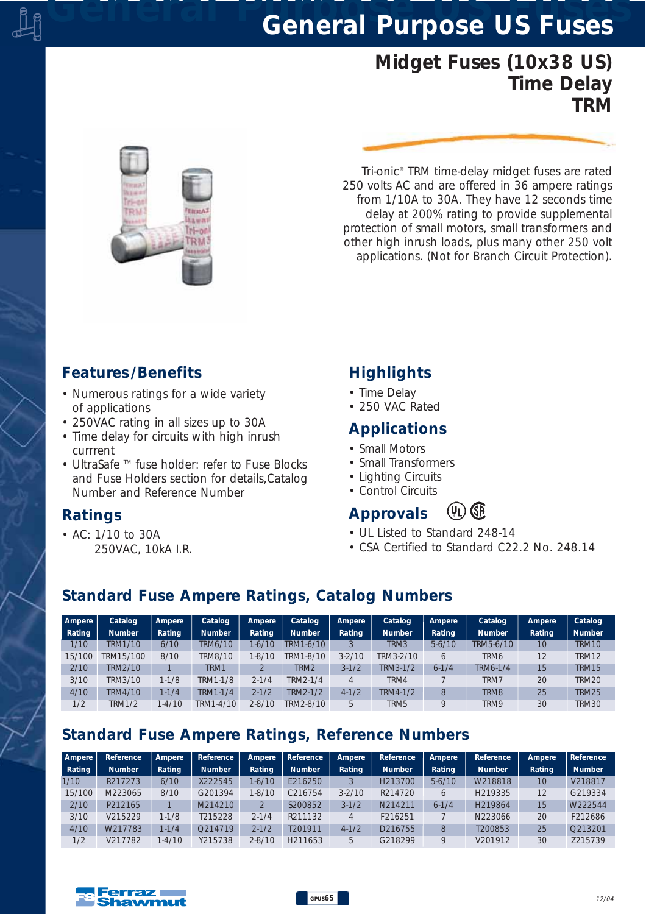# *General Purpose US Fuses General Purpose US Fuses*

# *Midget Fuses (10x38 US) Time Delay TRM*



*Tri-onic® TRM time-delay midget fuses are rated 250 volts AC and are offered in 36 ampere ratings from 1/10A to 30A. They have 12 seconds time delay at 200% rating to provide supplemental protection of small motors, small transformers and other high inrush loads, plus many other 250 volt applications. (Not for Branch Circuit Protection).*

#### *Features /Benefits*

- *Numerous ratings for a wide variety of applications*
- *250VAC rating in all sizes up to 30A*
- *Time delay for circuits with high inrush currrent*
- *UltraSafe TM fuse holder: refer to Fuse Blocks and Fuse Holders section for details,Catalog Number and Reference Number*

### *Ratings*

*• AC: 1/10 to 30A 250VAC, 10kA I.R.*

## *Highlights*

- *Time Delay*
- *250 VAC Rated*

#### *Applications*

- *Small Motors*
- *Small Transformers*
- *Lighting Circuits*
- *Control Circuits*

#### $(4)$  GP *Approvals*

- *UL Listed to Standard 248-14*
- *CSA Certified to Standard C22.2 No. 248.14*

### *Standard Fuse Ampere Ratings, Catalog Numbers*

| Ampere | Catalog       | Ampere    | Catalog        | Ampere     | Catalog       | Ampere     | Catalog       | Ampere    | Catalog          | Ampere          | Catalog       |
|--------|---------------|-----------|----------------|------------|---------------|------------|---------------|-----------|------------------|-----------------|---------------|
| Rating | <b>Number</b> | Rating    | <b>Number</b>  | Rating     | <b>Number</b> | Rating     | <b>Number</b> | Rating    | <b>Number</b>    | Rating          | <b>Number</b> |
| 1/10   | TRM1/10       | 6/10      | <b>TRM6/10</b> | $1 - 6/10$ | TRM1-6/10     |            | TRM3          | $5-6/10$  | TRM5-6/10        | 10              | TRM10         |
| 15/100 | TRM15/100     | 8/10      | <b>TRM8/10</b> | $1 - 8/10$ | TRM1-8/10     | $3 - 2/10$ | TRM3-2/10     | 6         | TRM6             |                 | TRM12         |
| 2/10   | TRM2/10       |           | TRM1           |            | TRM2          | $3-1/2$    | TRM3-1/2      | $6 - 1/4$ | TRM6-1/4         | 15 <sup>1</sup> | <b>TRM15</b>  |
| 3/10   | TRM3/10       | $1 - 1/8$ | TRM1-1/8       | $2 - 1/4$  | TRM2-1/4      |            | TRM4          |           | TRM7             | 20              | <b>TRM20</b>  |
| 4/10   | TRM4/10       | $1 - 1/4$ | TRM1-1/4       | $2 - 1/2$  | TRM2-1/2      | $4 - 1/2$  | TRM4-1/2      | 8         | TRM <sub>8</sub> | 25              | <b>TRM25</b>  |
| 1/2    | <b>TRM1/2</b> | $1-4/10$  | TRM1-4/10      | $2 - 8/10$ | TRM2-8/10     | 5          | TRM5          | $\circ$   | TRM9             | 30              | <b>TRM30</b>  |

# *Standard Fuse Ampere Ratings, Reference Numbers*

| Ampere | Reference     | Ampere    | Reference     | Ampere     | Reference           | Ampere     | Reference     | Ampere      | Reference           | Ampere | Reference     |
|--------|---------------|-----------|---------------|------------|---------------------|------------|---------------|-------------|---------------------|--------|---------------|
| Rating | <b>Number</b> | Rating    | <b>Number</b> | Rating     | <b>Number</b>       | Rating     | <b>Number</b> | Rating      | <b>Number</b>       | Rating | <b>Number</b> |
| 1/10   | R217273       | 6/10      | X222545       | $1 - 6/10$ | E216250             |            | H213700       | $5-6/10$    | W218818             | 10     | V218817       |
| 15/100 | M223065       | 8/10      | G201394       | $1 - 8/10$ | C <sub>216754</sub> | $3 - 2/10$ | R214720       | $\sigma$    | H <sub>219335</sub> | 12     | G219334       |
| 2/10   | P212165       |           | M214210       |            | S200852             | $3-1/2$    | N214211       | $6 - 1/4$   | H <sub>219864</sub> | 15     | W222544       |
| 3/10   | V215229       | $1 - 1/8$ | T215228       | $2 - 1/4$  | R211132             |            | F216251       |             | N223066             | 20     | F212686       |
| 4/10   | W217783       | $1 - 1/4$ | O214719       | $2 - 1/2$  | T201911             | $4 - 1/2$  | D216755       | 8           | T200853             | 25     | O213201       |
| 1/2    | V217782       | $1-4/10$  | Y215738       | $2 - 8/10$ | H <sub>211653</sub> | 5          | G218299       | $\mathsf Q$ | V201912             | 30     | 7215739       |